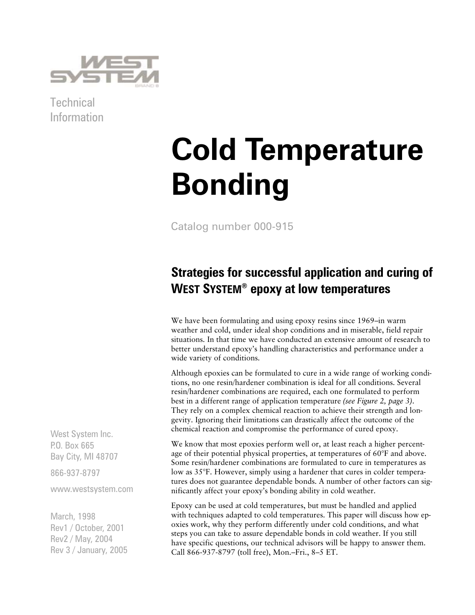

**Technical** Information

# **Cold Temperature Bonding**

Catalog number 000-915

## **Strategies for successful application and curing of WEST SYSTEM® epoxy at low temperatures**

We have been formulating and using epoxy resins since 1969–in warm weather and cold, under ideal shop conditions and in miserable, field repair situations. In that time we have conducted an extensive amount of research to better understand epoxy's handling characteristics and performance under a wide variety of conditions.

Although epoxies can be formulated to cure in a wide range of working conditions, no one resin/hardener combination is ideal for all conditions. Several resin/hardener combinations are required, each one formulated to perform best in a different range of application temperature *(see Figure 2, page 3)*. They rely on a complex chemical reaction to achieve their strength and longevity. Ignoring their limitations can drastically affect the outcome of the chemical reaction and compromise the performance of cured epoxy.

We know that most epoxies perform well or, at least reach a higher percentage of their potential physical properties, at temperatures of 60°F and above. Some resin/hardener combinations are formulated to cure in temperatures as low as 35°F. However, simply using a hardener that cures in colder temperatures does not guarantee dependable bonds. A number of other factors can significantly affect your epoxy's bonding ability in cold weather.

Epoxy can be used at cold temperatures, but must be handled and applied with techniques adapted to cold temperatures. This paper will discuss how epoxies work, why they perform differently under cold conditions, and what steps you can take to assure dependable bonds in cold weather. If you still have specific questions, our technical advisors will be happy to answer them. Call 866-937-8797 (toll free), Mon.–Fri., 8–5 ET.

West System Inc. P.O. Box 665 Bay City, MI 48707

866-937-8797

www.westsystem.com

March, 1998 Rev1 / October, 2001 Rev2 / May, 2004 Rev 3 / January, 2005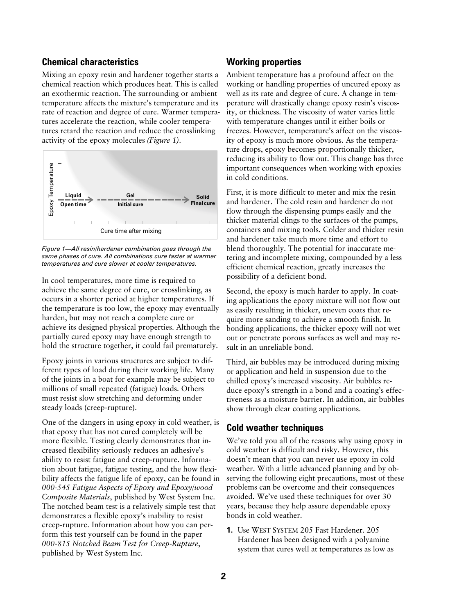### **Chemical characteristics**

Mixing an epoxy resin and hardener together starts a chemical reaction which produces heat. This is called an exothermic reaction. The surrounding or ambient temperature affects the mixture's temperature and its rate of reaction and degree of cure. Warmer temperatures accelerate the reaction, while cooler temperatures retard the reaction and reduce the crosslinking activity of the epoxy molecules *(Figure 1)*.



*Figure 1—All resin/hardener combination goes through the same phases of cure. All combinations cure faster at warmer temperatures and cure slower at cooler temperatures.*

In cool temperatures, more time is required to achieve the same degree of cure, or crosslinking, as occurs in a shorter period at higher temperatures. If the temperature is too low, the epoxy may eventually harden, but may not reach a complete cure or achieve its designed physical properties. Although the partially cured epoxy may have enough strength to hold the structure together, it could fail prematurely.

Epoxy joints in various structures are subject to different types of load during their working life. Many of the joints in a boat for example may be subject to millions of small repeated (fatigue) loads. Others must resist slow stretching and deforming under steady loads (creep-rupture).

One of the dangers in using epoxy in cold weather, is that epoxy that has not cured completely will be more flexible. Testing clearly demonstrates that increased flexibility seriously reduces an adhesive's ability to resist fatigue and creep-rupture. Information about fatigue, fatigue testing, and the how flexibility affects the fatigue life of epoxy, can be found in *000-545 Fatigue Aspects of Epoxy and Epoxy/wood Composite Materials*, published by West System Inc. The notched beam test is a relatively simple test that demonstrates a flexible epoxy's inability to resist creep-rupture. Information about how you can perform this test yourself can be found in the paper *000-815 Notched Beam Test for Creep-Rupture*, published by West System Inc.

#### **Working properties**

Ambient temperature has a profound affect on the working or handling properties of uncured epoxy as well as its rate and degree of cure. A change in temperature will drastically change epoxy resin's viscosity, or thickness. The viscosity of water varies little with temperature changes until it either boils or freezes. However, temperature's affect on the viscosity of epoxy is much more obvious. As the temperature drops, epoxy becomes proportionally thicker, reducing its ability to flow out. This change has three important consequences when working with epoxies in cold conditions.

First, it is more difficult to meter and mix the resin and hardener. The cold resin and hardener do not flow through the dispensing pumps easily and the thicker material clings to the surfaces of the pumps, containers and mixing tools. Colder and thicker resin and hardener take much more time and effort to blend thoroughly. The potential for inaccurate metering and incomplete mixing, compounded by a less efficient chemical reaction, greatly increases the possibility of a deficient bond.

Second, the epoxy is much harder to apply. In coating applications the epoxy mixture will not flow out as easily resulting in thicker, uneven coats that require more sanding to achieve a smooth finish. In bonding applications, the thicker epoxy will not wet out or penetrate porous surfaces as well and may result in an unreliable bond.

Third, air bubbles may be introduced during mixing or application and held in suspension due to the chilled epoxy's increased viscosity. Air bubbles reduce epoxy's strength in a bond and a coating's effectiveness as a moisture barrier. In addition, air bubbles show through clear coating applications.

#### **Cold weather techniques**

We've told you all of the reasons why using epoxy in cold weather is difficult and risky. However, this doesn't mean that you can never use epoxy in cold weather. With a little advanced planning and by observing the following eight precautions, most of these problems can be overcome and their consequences avoided. We've used these techniques for over 30 years, because they help assure dependable epoxy bonds in cold weather.

**1.** Use WEST SYSTEM 205 Fast Hardener. 205 Hardener has been designed with a polyamine system that cures well at temperatures as low as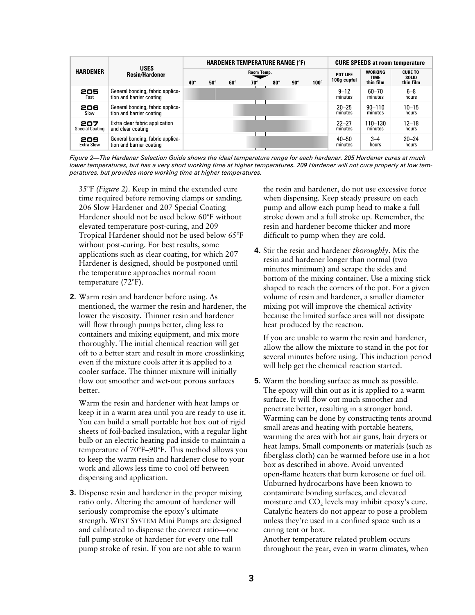| <b>HARDENER</b>               | <b>USES</b><br><b>Resin/Hardener</b>                         | <b>HARDENER TEMPERATURE RANGE (°F)</b> |            |            |                          |            |            |             | <b>CURE SPEEDS at room temperature</b> |                                            |                                      |
|-------------------------------|--------------------------------------------------------------|----------------------------------------|------------|------------|--------------------------|------------|------------|-------------|----------------------------------------|--------------------------------------------|--------------------------------------|
|                               |                                                              | $40^{\circ}$                           | $50^\circ$ | $60^\circ$ | Room Temp.<br>$70^\circ$ | $80^\circ$ | $90^\circ$ | $100^\circ$ | POT LIFE<br>100g cupful                | <b>WORKING</b><br><b>TIME</b><br>thin film | <b>CURE TO</b><br>SOLID<br>thin film |
| 205<br>Fast                   | General bonding, fabric applica-<br>tion and barrier coating |                                        |            |            |                          |            |            |             | $9 - 12$<br>minutes                    | $60 - 70$<br>minutes                       | $6 - 8$<br>hours                     |
| 206<br>Slow                   | General bonding, fabric applica-<br>tion and barrier coating |                                        |            |            |                          |            |            |             | $20 - 25$<br>minutes                   | $90 - 110$<br>minutes                      | $10 - 15$<br>hours                   |
| 207<br><b>Special Coating</b> | Extra clear fabric application<br>and clear coating          |                                        |            |            |                          |            |            |             | $22 - 27$<br>minutes                   | 110-130<br>minutes                         | $12 - 18$<br>hours                   |
| 209<br><b>Extra Slow</b>      | General bonding, fabric applica-<br>tion and barrier coating |                                        |            |            |                          |            |            |             | $40 - 50$<br>minutes                   | $3 - 4$<br>hours                           | $20 - 24$<br>hours                   |

*Figure 2—The Hardener Selection Guide shows the ideal temperature range for each hardener. 205 Hardener cures at much lower temperatures, but has a very short working time at higher temperatures. 209 Hardener will not cure properly at low temperatures, but provides more working time at higher temperatures.*

35°F *(Figure 2)*. Keep in mind the extended cure time required before removing clamps or sanding. 206 Slow Hardener and 207 Special Coating Hardener should not be used below 60°F without elevated temperature post-curing, and 209 Tropical Hardener should not be used below 65°F without post-curing. For best results, some applications such as clear coating, for which 207 Hardener is designed, should be postponed until the temperature approaches normal room temperature (72°F).

**2.** Warm resin and hardener before using. As mentioned, the warmer the resin and hardener, the lower the viscosity. Thinner resin and hardener will flow through pumps better, cling less to containers and mixing equipment, and mix more thoroughly. The initial chemical reaction will get off to a better start and result in more crosslinking even if the mixture cools after it is applied to a cooler surface. The thinner mixture will initially flow out smoother and wet-out porous surfaces better.

Warm the resin and hardener with heat lamps or keep it in a warm area until you are ready to use it. You can build a small portable hot box out of rigid sheets of foil-backed insulation, with a regular light bulb or an electric heating pad inside to maintain a temperature of 70°F–90°F. This method allows you to keep the warm resin and hardener close to your work and allows less time to cool off between dispensing and application.

**3.** Dispense resin and hardener in the proper mixing ratio only. Altering the amount of hardener will seriously compromise the epoxy's ultimate strength. WEST SYSTEM Mini Pumps are designed and calibrated to dispense the correct ratio—one full pump stroke of hardener for every one full pump stroke of resin. If you are not able to warm

the resin and hardener, do not use excessive force when dispensing. Keep steady pressure on each pump and allow each pump head to make a full stroke down and a full stroke up. Remember, the resin and hardener become thicker and more difficult to pump when they are cold.

**4.** Stir the resin and hardener *thoroughly*. Mix the resin and hardener longer than normal (two minutes minimum) and scrape the sides and bottom of the mixing container. Use a mixing stick shaped to reach the corners of the pot. For a given volume of resin and hardener, a smaller diameter mixing pot will improve the chemical activity because the limited surface area will not dissipate heat produced by the reaction.

If you are unable to warm the resin and hardener, allow the allow the mixture to stand in the pot for several minutes before using. This induction period will help get the chemical reaction started.

**5.** Warm the bonding surface as much as possible. The epoxy will thin out as it is applied to a warm surface. It will flow out much smoother and penetrate better, resulting in a stronger bond. Warming can be done by constructing tents around small areas and heating with portable heaters, warming the area with hot air guns, hair dryers or heat lamps. Small components or materials (such as fiberglass cloth) can be warmed before use in a hot box as described in above. Avoid unvented open-flame heaters that burn kerosene or fuel oil. Unburned hydrocarbons have been known to contaminate bonding surfaces, and elevated moisture and CO<sub>2</sub> levels may inhibit epoxy's cure. Catalytic heaters do not appear to pose a problem unless they're used in a confined space such as a curing tent or box.

Another temperature related problem occurs throughout the year, even in warm climates, when